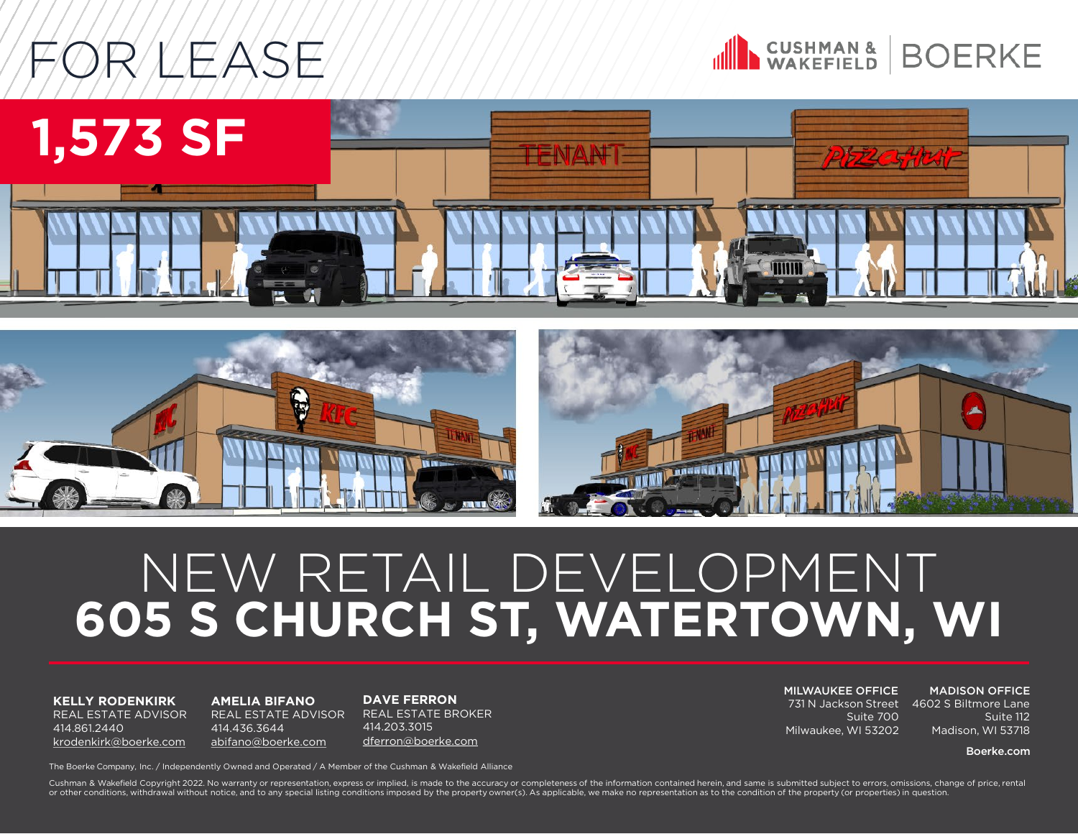# FOR LEASE







### NEW RETAIL DEVELOPMENT **605 S CHURCH ST, WATERTOWN, WI**

**KELLY RODENKIRK**  REAL ESTATE ADVISOR 414.861.2440 [krodenkirk@boerke.com](mailto:krodenkirk@boerke.com)

**AMELIA BIFANO** REAL ESTATE ADVISOR 414.436.3644 [abifano@boerke.com](mailto:abifano@boerke.com)

**DAVE FERRON** REAL ESTATE BROKER 414.203.3015 [dferron@boerke.com](mailto:dferron@boerke.com)

MILWAUKEE OFFICE 731 N Jackson Street 4602 S Biltmore Lane Suite 700 Milwaukee, WI 53202

MADISON OFFICE

Suite 112 Madison, WI 53718

Boerke.com

The Boerke Company, Inc. / Independently Owned and Operated / A Member of the Cushman & Wakefield Alliance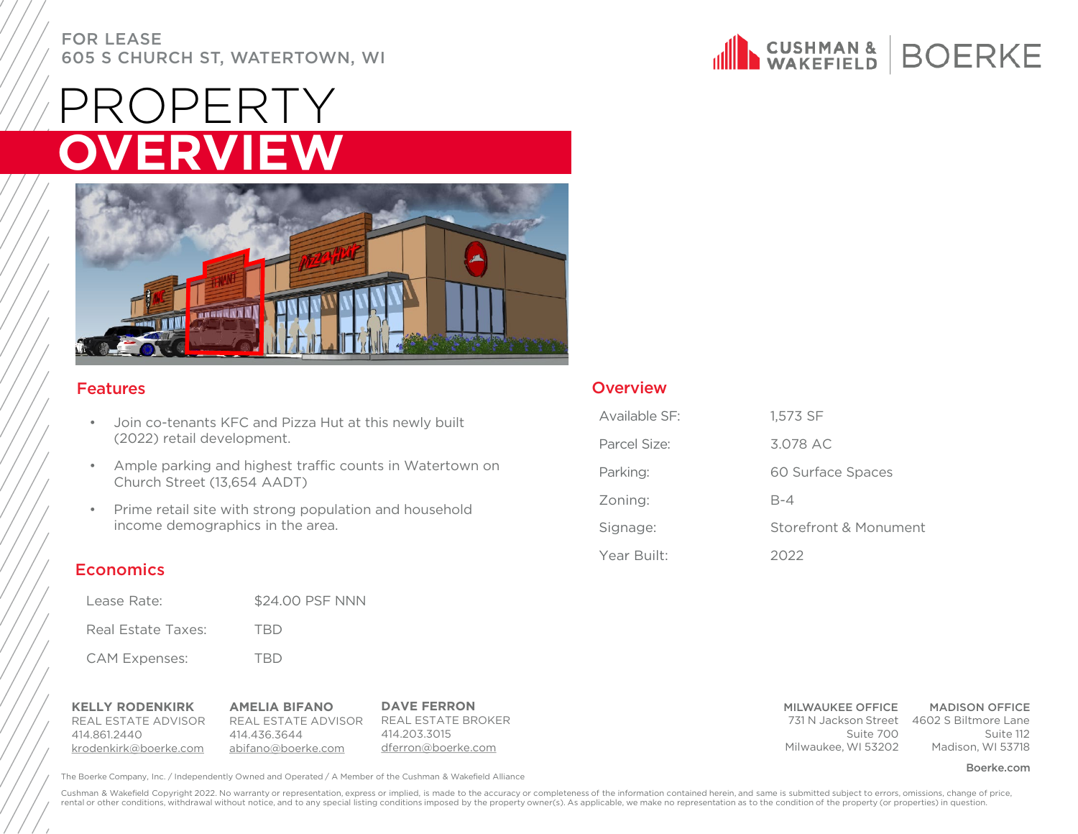## OPERTY **OVERVIEW**



### Features

- Join co-tenants KFC and Pizza Hut at this newly built (2022) retail development.
- Ample parking and highest traffic counts in Watertown on Church Street (13,654 AADT)
- Prime retail site with strong population and household income demographics in the area.

### **Economics**

- Lease Rate: \$24.00 PSF NNN
- Real Estate Taxes: TBD CAM Expenses: TBD

| <b>KELLY RODENKIRK</b> | <b>AMELIA BIFANO</b> | <b>DAVE FERRON</b> |
|------------------------|----------------------|--------------------|
| REAL ESTATE ADVISOR    | REAL ESTATE ADVISOR  | REAL ESTATE BROKER |
| 414 861 2440           | 414 436 3644         | 414.203.3015       |
| krodenkirk@boerke.com  | abifano@boerke.com   | dferron@boerke.com |

The Boerke Company, Inc. / Independently Owned and Operated / A Member of the Cushman & Wakefield Alliance **The Community of the Cushman A Member of the Cushman & Wakefield Alliance** 



### **Overview**

| Available SF: | 1,573 SF              |
|---------------|-----------------------|
| Parcel Size:  | 3.078 AC              |
| Parking:      | 60 Surface Spaces     |
| Zoning:       | $B - 4$               |
| Signage:      | Storefront & Monument |
| Year Built:   | 2022                  |

#### MILWAUKEE OFFICE 731 N Jackson Street 4602 S Biltmore Lane Suite 700 Milwaukee, WI 53202

MADISON OFFICE Suite 112 Madison, WI 53718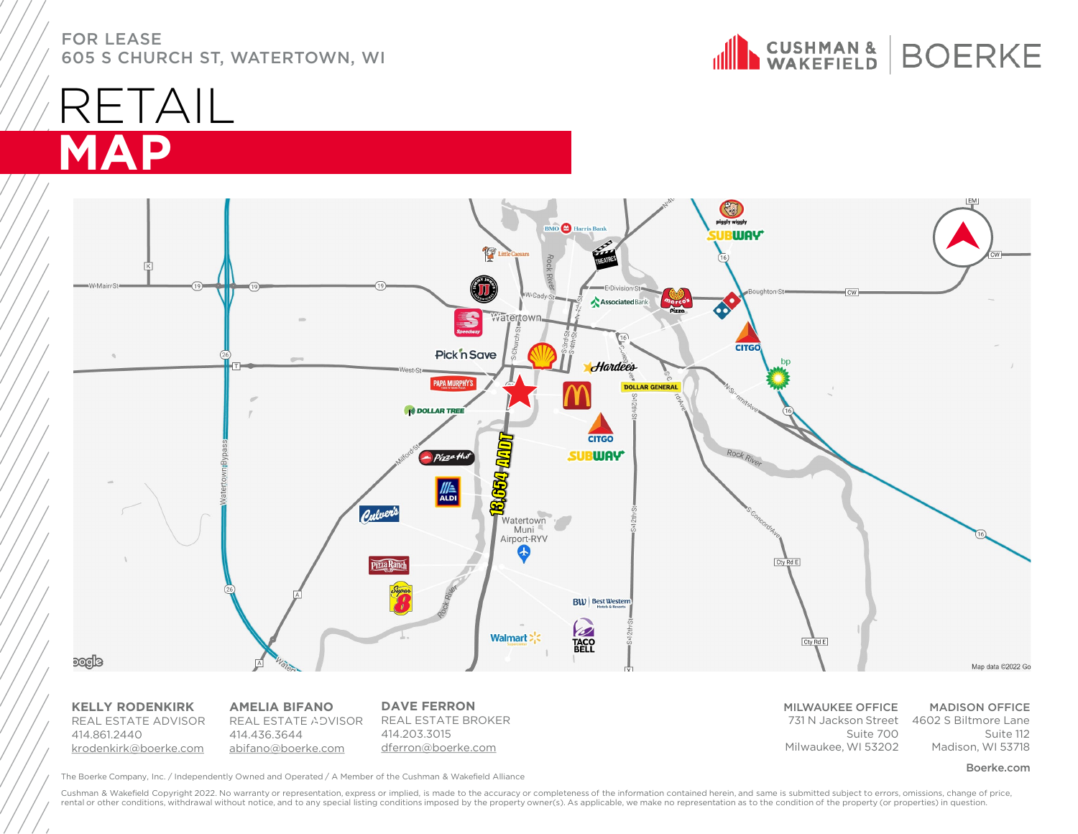N CUSHMAN & BOERKE

### RETAIL **MAP**



**KELLY RODENKIRK**  REAL ESTATE ADVISOR 414.861.2440 [krodenkirk@boerke.com](mailto:krodenkirk@boerke.com)

**AMELIA BIFANO** REAL ESTATE ADVISOR 414.436.3644 [abifano@boerke.com](mailto:abifano@boerke.com)

**DAVE FERRON** REAL ESTATE BROKER 414.203.3015 [dferron@boerke.com](mailto:dferron@boerke.com)

MILWAUKEE OFFICE 731 N Jackson Street 4602 S Biltmore Lane Suite 700 Milwaukee, WI 53202

MADISON OFFICE Suite 112 Madison, WI 53718

The Boerke Company, Inc. / Independently Owned and Operated / A Member of the Cushman & Wakefield Alliance **Source And Account and Convention** Company, Inc. / Independently Owned and Operated / A Member of the Cushman & Wa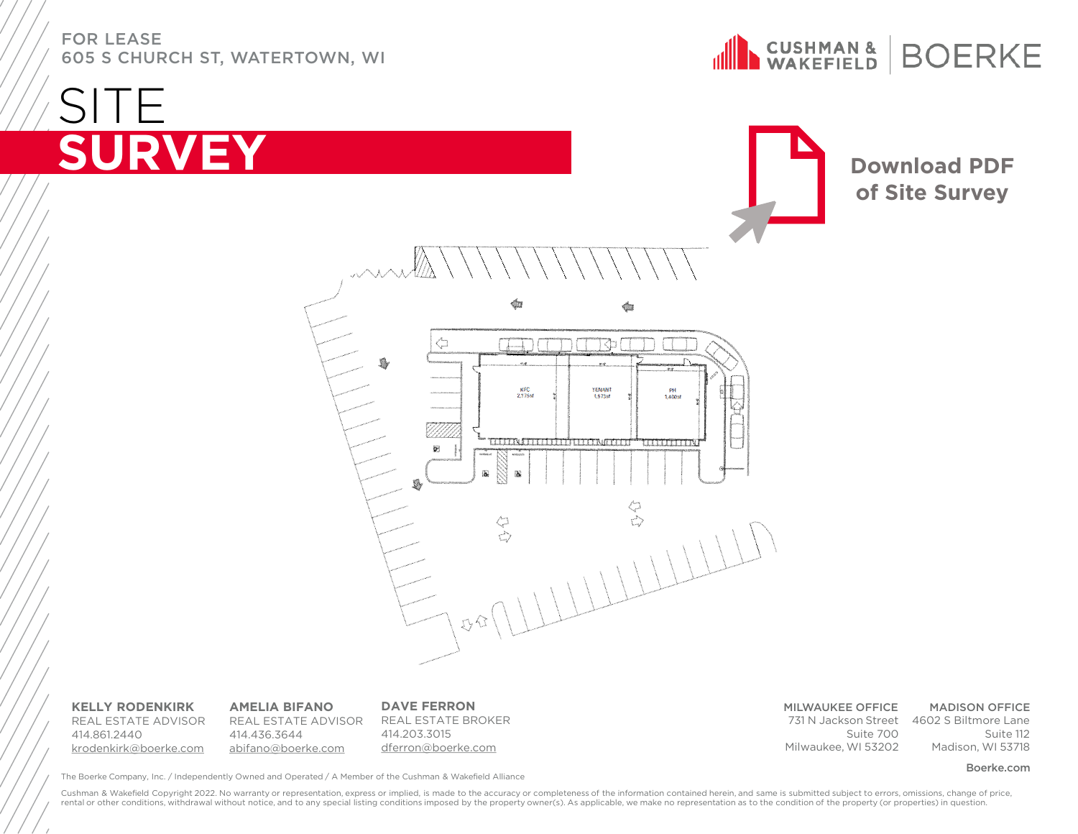**SITE** 

**CUSHMAN &**<br>WAKEFIELD **BOERKE** 

### **SURVEY [Download PDF](https://www.dropbox.com/s/3p0hnm8qq3quc3l/Watertown%20-%20Site%20layout%20opt4%2003.26.21.pdf?dl=0) of Site Survey**đ ⇦ Tł **KFC**<br>2.175sf TENANT<br>1,573sf PH<br>1.400sf u bu wa mata hai uma wa ma **LUTTELLIN**  $\overline{\mathbf{a}}$

**KELLY RODENKIRK**  REAL ESTATE ADVISOR 414.861.2440 [krodenkirk@boerke.com](mailto:krodenkirk@boerke.com)

**AMELIA BIFANO** REAL ESTATE ADVISOR 414.436.3644 [abifano@boerke.com](mailto:abifano@boerke.com)

**DAVE FERRON** REAL ESTATE BROKER 414.203.3015 [dferron@boerke.com](mailto:dferron@boerke.com)

MILWAUKEE OFFICE 731 N Jackson Street 4602 S Biltmore Lane Suite 700 Milwaukee, WI 53202

MADISON OFFICE Suite 112 Madison, WI 53718

The Boerke Company, Inc. / Independently Owned and Operated / A Member of the Cushman & Wakefield Alliance **Source And Account and Convention** Company, Inc. / Independently Owned and Operated / A Member of the Cushman & Wa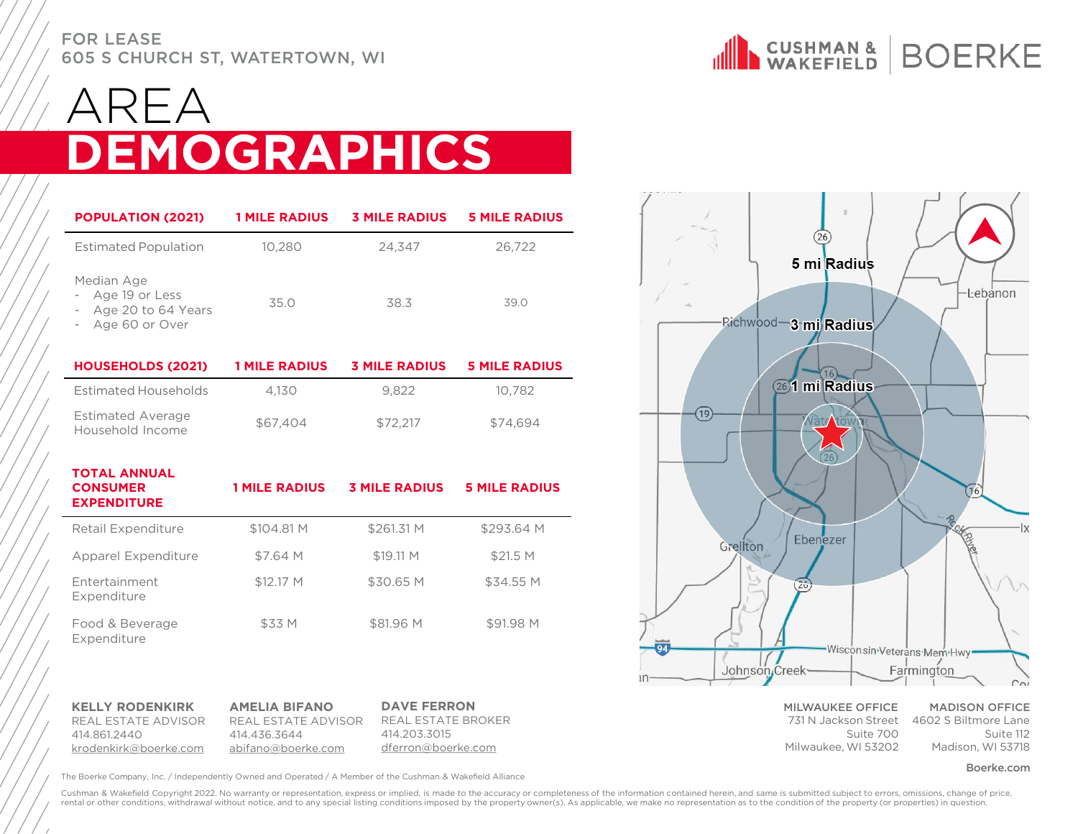

### $\prec \vdash \vartriangle$ **DEMOGRAPHICS**

| <b>POPULATION (2021)</b>                                             | <b>1 MILE RADIUS</b> | <b>3 MILE RADIUS</b> | <b>5 MILE RADIUS</b> |
|----------------------------------------------------------------------|----------------------|----------------------|----------------------|
| <b>Estimated Population</b>                                          | 10.280               | 24,347               | 26,722               |
| Median Age<br>Age 19 or Less<br>Age 20 to 64 Years<br>Age 60 or Over | 35.0                 | 38.3                 | 39.0                 |
| <b>HOUSEHOLDS (2021)</b>                                             | <b>1 MILE RADIUS</b> | <b>3 MILE RADIUS</b> | <b>5 MILE RADIUS</b> |
| Estimated Households                                                 | 4.130                | 9.822                | 10.782               |

| <b>Estimated Average</b><br>Household Income | \$67,404 | \$72.217 | \$74.694 |
|----------------------------------------------|----------|----------|----------|

| <b>TOTAL ANNUAL</b><br><b>CONSUMER</b><br><b>EXPENDITURE</b> | <b>1 MILE RADIUS</b> | <b>3 MILE RADIUS</b> | <b>5 MILE RADIUS</b> |
|--------------------------------------------------------------|----------------------|----------------------|----------------------|
| Retail Expenditure                                           | \$104.81 M           | \$261.31 M           | \$293.64 M           |
| Apparel Expenditure                                          | \$7.64 M             | \$19.11 M            | \$21.5 M             |
| <b>Entertainment</b><br>Expenditure                          | \$12.17 M            | \$30.65 M            | \$34.55 M            |
| Food & Beverage<br>Expenditure                               | \$33 M               | \$81.96 M            | \$91.98 M            |

**KELLY RODENKIRK**  REAL ESTATE ADVISOR 414.861.2440 [krodenkirk@boerke.com](mailto:krodenkirk@boerke.com)

**AMELIA BIFANO** REAL ESTATE ADVISOR 414.436.3644 [abifano@boerke.com](mailto:abifano@boerke.com)

**DAVE FERRON** REAL ESTATE BROKER 414.203.3015 [dferron@boerke.com](mailto:dferron@boerke.com)

The Boerke Company, Inc. / Independently Owned and Operated / A Member of the Cushman & Wakefield Alliance **Source And Account and Source And Account and Source** The Boerke.com

26 5 mi Radius -Lebanon Richwood-3 mi Radius 26<sup>1</sup> mi Radius  $(19)$ 16 Ebenezer Grellton  $(26)$ Wisconsin Veterans Mem Hwy Farmington Johnson Creek

> MILWAUKEE OFFICE Suite 700 Milwaukee, WI 53202

731 N Jackson Street 4602 S Biltmore Lane MADISON OFFICE Suite 112 Madison, WI 53718